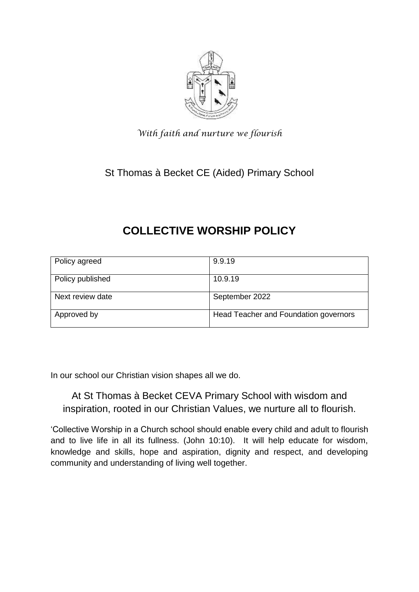

*With faith and nurture we flourish*

St Thomas à Becket CE (Aided) Primary School

# **COLLECTIVE WORSHIP POLICY**

| Policy agreed    | 9.9.19                                |  |
|------------------|---------------------------------------|--|
| Policy published | 10.9.19                               |  |
| Next review date | September 2022                        |  |
| Approved by      | Head Teacher and Foundation governors |  |

In our school our Christian vision shapes all we do.

# At St Thomas à Becket CEVA Primary School with wisdom and inspiration, rooted in our Christian Values, we nurture all to flourish.

'Collective Worship in a Church school should enable every child and adult to flourish and to live life in all its fullness. (John 10:10). It will help educate for wisdom, knowledge and skills, hope and aspiration, dignity and respect, and developing community and understanding of living well together.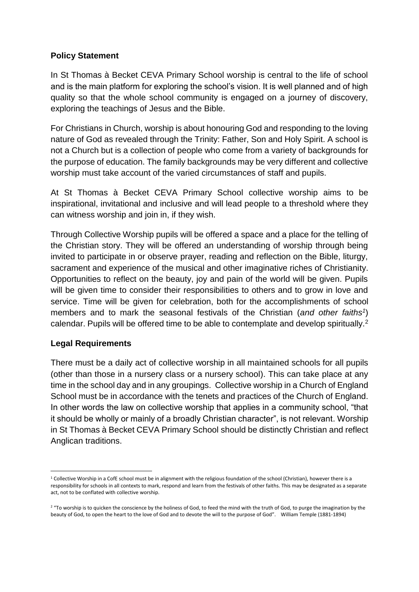#### **Policy Statement**

In St Thomas à Becket CEVA Primary School worship is central to the life of school and is the main platform for exploring the school's vision. It is well planned and of high quality so that the whole school community is engaged on a journey of discovery, exploring the teachings of Jesus and the Bible.

For Christians in Church, worship is about honouring God and responding to the loving nature of God as revealed through the Trinity: Father, Son and Holy Spirit. A school is not a Church but is a collection of people who come from a variety of backgrounds for the purpose of education. The family backgrounds may be very different and collective worship must take account of the varied circumstances of staff and pupils.

At St Thomas à Becket CEVA Primary School collective worship aims to be inspirational, invitational and inclusive and will lead people to a threshold where they can witness worship and join in, if they wish.

Through Collective Worship pupils will be offered a space and a place for the telling of the Christian story. They will be offered an understanding of worship through being invited to participate in or observe prayer, reading and reflection on the Bible, liturgy, sacrament and experience of the musical and other imaginative riches of Christianity. Opportunities to reflect on the beauty, joy and pain of the world will be given. Pupils will be given time to consider their responsibilities to others and to grow in love and service. Time will be given for celebration, both for the accomplishments of school members and to mark the seasonal festivals of the Christian (*and other faiths<sup>1</sup>* ) calendar. Pupils will be offered time to be able to contemplate and develop spiritually.<sup>2</sup>

#### **Legal Requirements**

-

There must be a daily act of collective worship in all maintained schools for all pupils (other than those in a nursery class or a nursery school). This can take place at any time in the school day and in any groupings. Collective worship in a Church of England School must be in accordance with the tenets and practices of the Church of England. In other words the law on collective worship that applies in a community school, "that it should be wholly or mainly of a broadly Christian character", is not relevant. Worship in St Thomas à Becket CEVA Primary School should be distinctly Christian and reflect Anglican traditions.

<sup>&</sup>lt;sup>1</sup> Collective Worship in a CofE school must be in alignment with the religious foundation of the school (Christian), however there is a responsibility for schools in all contexts to mark, respond and learn from the festivals of other faiths. This may be designated as a separate act, not to be conflated with collective worship.

<sup>&</sup>lt;sup>2</sup> "To worship is to quicken the conscience by the holiness of God, to feed the mind with the truth of God, to purge the imagination by the beauty of God, to open the heart to the love of God and to devote the will to the purpose of God". William Temple (1881-1894)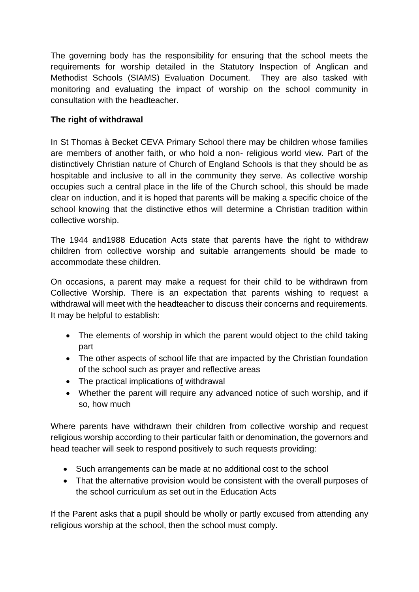The governing body has the responsibility for ensuring that the school meets the requirements for worship detailed in the Statutory Inspection of Anglican and Methodist Schools (SIAMS) Evaluation Document. They are also tasked with monitoring and evaluating the impact of worship on the school community in consultation with the headteacher.

## **The right of withdrawal**

In St Thomas à Becket CEVA Primary School there may be children whose families are members of another faith, or who hold a non- religious world view. Part of the distinctively Christian nature of Church of England Schools is that they should be as hospitable and inclusive to all in the community they serve. As collective worship occupies such a central place in the life of the Church school, this should be made clear on induction, and it is hoped that parents will be making a specific choice of the school knowing that the distinctive ethos will determine a Christian tradition within collective worship.

The 1944 and1988 Education Acts state that parents have the right to withdraw children from collective worship and suitable arrangements should be made to accommodate these children.

On occasions, a parent may make a request for their child to be withdrawn from Collective Worship. There is an expectation that parents wishing to request a withdrawal will meet with the headteacher to discuss their concerns and requirements. It may be helpful to establish:

- The elements of worship in which the parent would object to the child taking part
- The other aspects of school life that are impacted by the Christian foundation of the school such as prayer and reflective areas
- The practical implications of withdrawal
- Whether the parent will require any advanced notice of such worship, and if so, how much

Where parents have withdrawn their children from collective worship and request religious worship according to their particular faith or denomination, the governors and head teacher will seek to respond positively to such requests providing:

- Such arrangements can be made at no additional cost to the school
- That the alternative provision would be consistent with the overall purposes of the school curriculum as set out in the Education Acts

If the Parent asks that a pupil should be wholly or partly excused from attending any religious worship at the school, then the school must comply.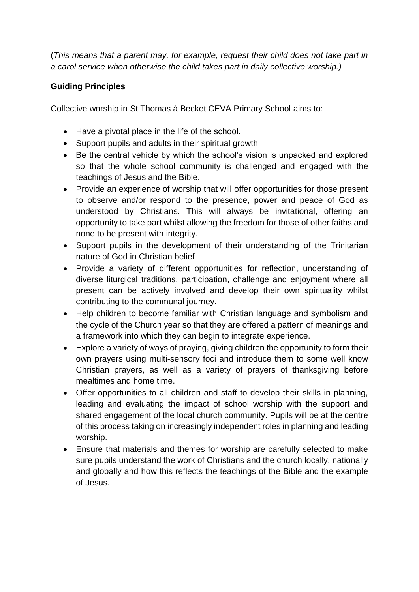(*This means that a parent may, for example, request their child does not take part in a carol service when otherwise the child takes part in daily collective worship.)*

# **Guiding Principles**

Collective worship in St Thomas à Becket CEVA Primary School aims to:

- Have a pivotal place in the life of the school.
- Support pupils and adults in their spiritual growth
- Be the central vehicle by which the school's vision is unpacked and explored so that the whole school community is challenged and engaged with the teachings of Jesus and the Bible.
- Provide an experience of worship that will offer opportunities for those present to observe and/or respond to the presence, power and peace of God as understood by Christians. This will always be invitational, offering an opportunity to take part whilst allowing the freedom for those of other faiths and none to be present with integrity.
- Support pupils in the development of their understanding of the Trinitarian nature of God in Christian belief
- Provide a variety of different opportunities for reflection, understanding of diverse liturgical traditions, participation, challenge and enjoyment where all present can be actively involved and develop their own spirituality whilst contributing to the communal journey.
- Help children to become familiar with Christian language and symbolism and the cycle of the Church year so that they are offered a pattern of meanings and a framework into which they can begin to integrate experience.
- Explore a variety of ways of praying, giving children the opportunity to form their own prayers using multi-sensory foci and introduce them to some well know Christian prayers, as well as a variety of prayers of thanksgiving before mealtimes and home time.
- Offer opportunities to all children and staff to develop their skills in planning, leading and evaluating the impact of school worship with the support and shared engagement of the local church community. Pupils will be at the centre of this process taking on increasingly independent roles in planning and leading worship.
- Ensure that materials and themes for worship are carefully selected to make sure pupils understand the work of Christians and the church locally, nationally and globally and how this reflects the teachings of the Bible and the example of Jesus.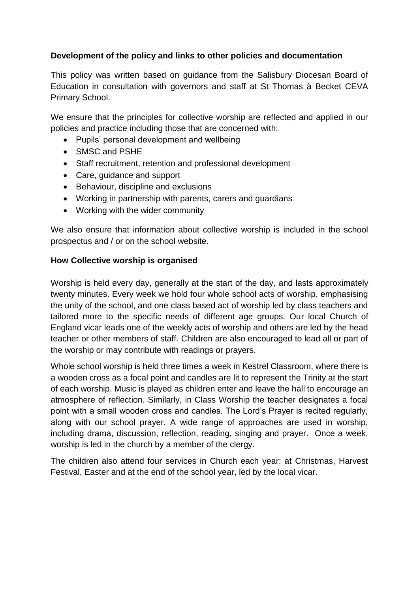### **Development of the policy and links to other policies and documentation**

This policy was written based on guidance from the Salisbury Diocesan Board of Education in consultation with governors and staff at St Thomas à Becket CEVA Primary School.

We ensure that the principles for collective worship are reflected and applied in our policies and practice including those that are concerned with:

- Pupils' personal development and wellbeing
- SMSC and PSHE
- Staff recruitment, retention and professional development
- Care, guidance and support
- Behaviour, discipline and exclusions
- Working in partnership with parents, carers and guardians
- Working with the wider community

We also ensure that information about collective worship is included in the school prospectus and / or on the school website.

#### **How Collective worship is organised**

Worship is held every day, generally at the start of the day, and lasts approximately twenty minutes. Every week we hold four whole school acts of worship, emphasising the unity of the school, and one class based act of worship led by class teachers and tailored more to the specific needs of different age groups. Our local Church of England vicar leads one of the weekly acts of worship and others are led by the head teacher or other members of staff. Children are also encouraged to lead all or part of the worship or may contribute with readings or prayers.

Whole school worship is held three times a week in Kestrel Classroom, where there is a wooden cross as a focal point and candles are lit to represent the Trinity at the start of each worship. Music is played as children enter and leave the hall to encourage an atmosphere of reflection. Similarly, in Class Worship the teacher designates a focal point with a small wooden cross and candles. The Lord's Prayer is recited regularly, along with our school prayer. A wide range of approaches are used in worship, including drama, discussion, reflection, reading, singing and prayer. Once a week, worship is led in the church by a member of the clergy.

The children also attend four services in Church each year: at Christmas, Harvest Festival, Easter and at the end of the school year, led by the local vicar.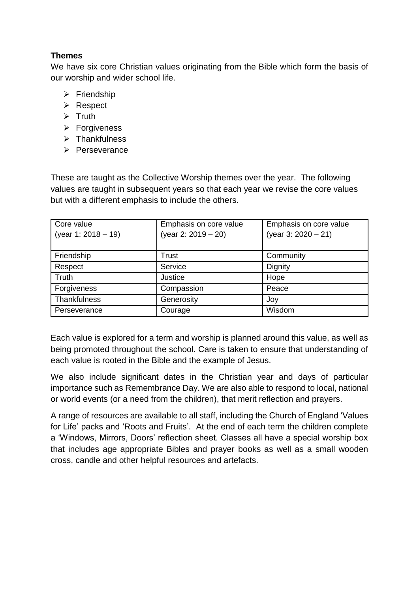# **Themes**

We have six core Christian values originating from the Bible which form the basis of our worship and wider school life.

- $\triangleright$  Friendship
- **≻** Respect
- $\triangleright$  Truth
- > Forgiveness
- $\triangleright$  Thankfulness
- $\triangleright$  Perseverance

These are taught as the Collective Worship themes over the year. The following values are taught in subsequent years so that each year we revise the core values but with a different emphasis to include the others.

| Core value<br>(year 1: $2018 - 19$ ) | Emphasis on core value<br>(year 2: $2019 - 20$ ) | Emphasis on core value<br>(year 3: $2020 - 21$ ) |
|--------------------------------------|--------------------------------------------------|--------------------------------------------------|
| Friendship                           | Trust                                            | Community                                        |
| Respect                              | Service                                          | Dignity                                          |
| Truth                                | Justice                                          | Hope                                             |
| Forgiveness                          | Compassion                                       | Peace                                            |
| Thankfulness                         | Generosity                                       | Joy                                              |
| Perseverance                         | Courage                                          | Wisdom                                           |

Each value is explored for a term and worship is planned around this value, as well as being promoted throughout the school. Care is taken to ensure that understanding of each value is rooted in the Bible and the example of Jesus.

We also include significant dates in the Christian year and days of particular importance such as Remembrance Day. We are also able to respond to local, national or world events (or a need from the children), that merit reflection and prayers.

A range of resources are available to all staff, including the Church of England 'Values for Life' packs and 'Roots and Fruits'. At the end of each term the children complete a 'Windows, Mirrors, Doors' reflection sheet. Classes all have a special worship box that includes age appropriate Bibles and prayer books as well as a small wooden cross, candle and other helpful resources and artefacts.